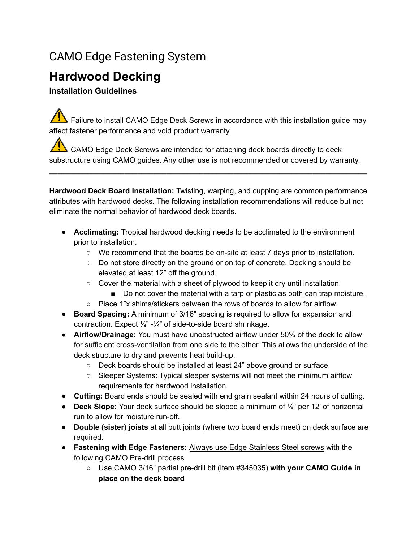## CAMO Edge Fastening System

# **Hardwood Decking**

## **Installation Guidelines**

 $\sqrt{\sqrt{N}}$  Failure to install CAMO Edge Deck Screws in accordance with this installation guide may affect fastener performance and void product warranty.

CAMO Edge Deck Screws are intended for attaching deck boards directly to deck substructure using CAMO guides. Any other use is not recommended or covered by warranty.

**Hardwood Deck Board Installation:** Twisting, warping, and cupping are common performance attributes with hardwood decks. The following installation recommendations will reduce but not eliminate the normal behavior of hardwood deck boards.

**\_\_\_\_\_\_\_\_\_\_\_\_\_\_\_\_\_\_\_\_\_\_\_\_\_\_\_\_\_\_\_\_\_\_\_\_\_\_\_\_\_\_\_\_\_\_\_\_\_\_\_\_\_\_\_\_\_\_\_\_\_\_\_\_\_\_\_\_\_\_\_\_\_\_\_\_**

- **Acclimating:** Tropical hardwood decking needs to be acclimated to the environment prior to installation.
	- We recommend that the boards be on-site at least 7 days prior to installation.
	- Do not store directly on the ground or on top of concrete. Decking should be elevated at least 12" off the ground.
	- Cover the material with a sheet of plywood to keep it dry until installation.
		- Do not cover the material with a tarp or plastic as both can trap moisture.
		- Place 1"x shims/stickers between the rows of boards to allow for airflow.
- **Board Spacing:** A minimum of 3/16" spacing is required to allow for expansion and contraction. Expect  $\frac{1}{8}$ " - $\frac{1}{4}$ " of side-to-side board shrinkage.
- **Airflow/Drainage:** You must have unobstructed airflow under 50% of the deck to allow for sufficient cross-ventilation from one side to the other. This allows the underside of the deck structure to dry and prevents heat build-up.
	- Deck boards should be installed at least 24" above ground or surface.
	- Sleeper Systems: Typical sleeper systems will not meet the minimum airflow requirements for hardwood installation.
- **Cutting:** Board ends should be sealed with end grain sealant within 24 hours of cutting.
- **Deck Slope:** Your deck surface should be sloped a minimum of ¼" per 12' of horizontal run to allow for moisture run-off.
- **Double (sister) joists** at all butt joints (where two board ends meet) on deck surface are required.
- **Fastening with Edge Fasteners:** Always use Edge Stainless Steel screws with the following CAMO Pre-drill process
	- Use CAMO 3/16" partial pre-drill bit (item #345035) **with your CAMO Guide in place on the deck board**